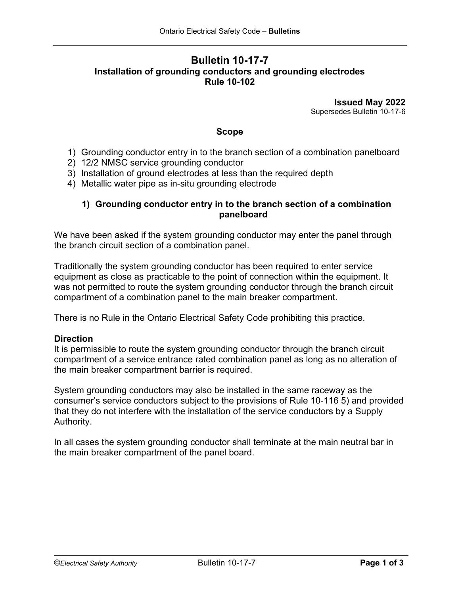# **Bulletin 10-17-7 Installation of grounding conductors and grounding electrodes Rule 10-102**

**Issued May 2022** Supersedes Bulletin 10-17-6

### **Scope**

- 1) Grounding conductor entry in to the branch section of a combination panelboard
- 2) 12/2 NMSC service grounding conductor
- 3) Installation of ground electrodes at less than the required depth
- 4) Metallic water pipe as in-situ grounding electrode

### **1) Grounding conductor entry in to the branch section of a combination panelboard**

We have been asked if the system grounding conductor may enter the panel through the branch circuit section of a combination panel.

Traditionally the system grounding conductor has been required to enter service equipment as close as practicable to the point of connection within the equipment. It was not permitted to route the system grounding conductor through the branch circuit compartment of a combination panel to the main breaker compartment.

There is no Rule in the Ontario Electrical Safety Code prohibiting this practice.

#### **Direction**

It is permissible to route the system grounding conductor through the branch circuit compartment of a service entrance rated combination panel as long as no alteration of the main breaker compartment barrier is required.

System grounding conductors may also be installed in the same raceway as the consumer's service conductors subject to the provisions of Rule 10-116 5) and provided that they do not interfere with the installation of the service conductors by a Supply Authority.

In all cases the system grounding conductor shall terminate at the main neutral bar in the main breaker compartment of the panel board.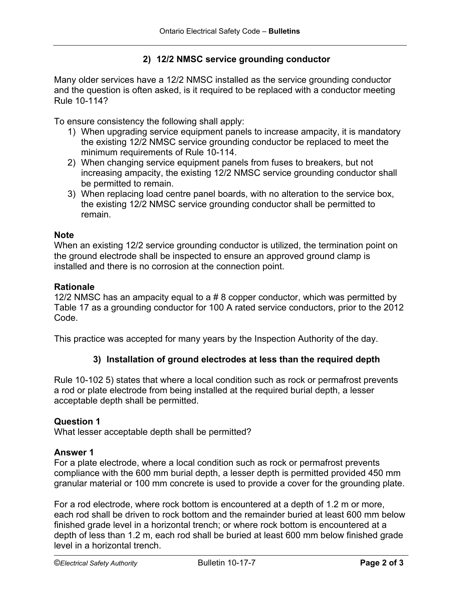## **2) 12/2 NMSC service grounding conductor**

Many older services have a 12/2 NMSC installed as the service grounding conductor and the question is often asked, is it required to be replaced with a conductor meeting Rule 10-114?

To ensure consistency the following shall apply:

- 1) When upgrading service equipment panels to increase ampacity, it is mandatory the existing 12/2 NMSC service grounding conductor be replaced to meet the minimum requirements of Rule 10-114.
- 2) When changing service equipment panels from fuses to breakers, but not increasing ampacity, the existing 12/2 NMSC service grounding conductor shall be permitted to remain.
- 3) When replacing load centre panel boards, with no alteration to the service box, the existing 12/2 NMSC service grounding conductor shall be permitted to remain.

#### **Note**

When an existing 12/2 service grounding conductor is utilized, the termination point on the ground electrode shall be inspected to ensure an approved ground clamp is installed and there is no corrosion at the connection point.

#### **Rationale**

12/2 NMSC has an ampacity equal to a # 8 copper conductor, which was permitted by Table 17 as a grounding conductor for 100 A rated service conductors, prior to the 2012 Code.

This practice was accepted for many years by the Inspection Authority of the day.

### **3) Installation of ground electrodes at less than the required depth**

Rule 10-102 5) states that where a local condition such as rock or permafrost prevents a rod or plate electrode from being installed at the required burial depth, a lesser acceptable depth shall be permitted.

#### **Question 1**

What lesser acceptable depth shall be permitted?

#### **Answer 1**

For a plate electrode, where a local condition such as rock or permafrost prevents compliance with the 600 mm burial depth, a lesser depth is permitted provided 450 mm granular material or 100 mm concrete is used to provide a cover for the grounding plate.

For a rod electrode, where rock bottom is encountered at a depth of 1.2 m or more, each rod shall be driven to rock bottom and the remainder buried at least 600 mm below finished grade level in a horizontal trench; or where rock bottom is encountered at a depth of less than 1.2 m, each rod shall be buried at least 600 mm below finished grade level in a horizontal trench.